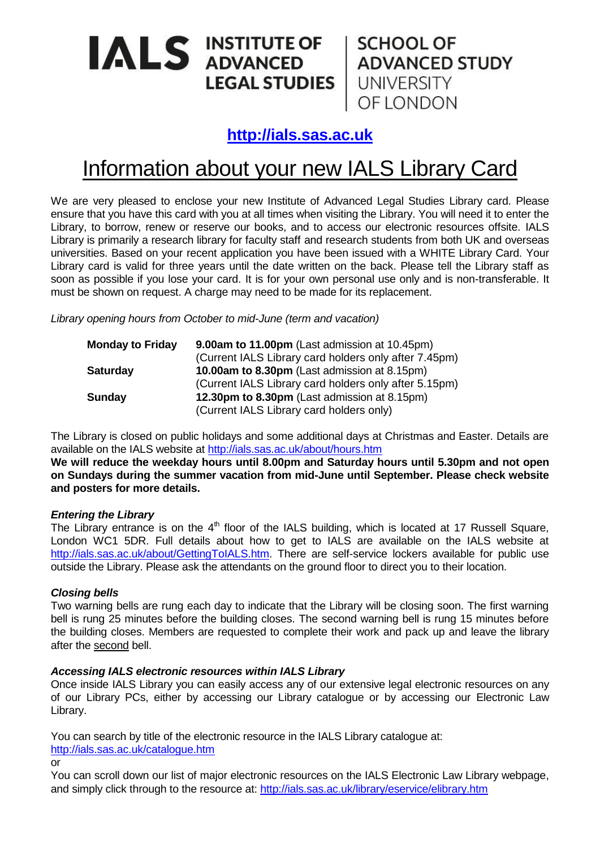# ALS INSTITUTE OF SCHOOL OF ADVANCED STUDY<br>LEGAL STUDIES UNIVERSITY

OF LONDON

**[http://ials.sas.ac.uk](http://ials.sas.ac.uk/)**

# Information about your new IALS Library Card

We are very pleased to enclose your new Institute of Advanced Legal Studies Library card. Please ensure that you have this card with you at all times when visiting the Library. You will need it to enter the Library, to borrow, renew or reserve our books, and to access our electronic resources offsite. IALS Library is primarily a research library for faculty staff and research students from both UK and overseas universities. Based on your recent application you have been issued with a WHITE Library Card. Your Library card is valid for three years until the date written on the back. Please tell the Library staff as soon as possible if you lose your card. It is for your own personal use only and is non-transferable. It must be shown on request. A charge may need to be made for its replacement.

*Library opening hours from October to mid-June (term and vacation)*

| <b>Monday to Friday</b> | 9.00am to 11.00pm (Last admission at 10.45pm)         |
|-------------------------|-------------------------------------------------------|
|                         | (Current IALS Library card holders only after 7.45pm) |
| <b>Saturday</b>         | <b>10.00am to 8.30pm</b> (Last admission at 8.15pm)   |
|                         | (Current IALS Library card holders only after 5.15pm) |
| <b>Sunday</b>           | 12.30pm to 8.30pm (Last admission at 8.15pm)          |
|                         | (Current IALS Library card holders only)              |

The Library is closed on public holidays and some additional days at Christmas and Easter. Details are available on the IALS website at<http://ials.sas.ac.uk/about/hours.htm>

**We will reduce the weekday hours until 8.00pm and Saturday hours until 5.30pm and not open on Sundays during the summer vacation from mid-June until September. Please check website and posters for more details.**

# *Entering the Library*

The Library entrance is on the 4<sup>th</sup> floor of the IALS building, which is located at 17 Russell Square, London WC1 5DR. Full details about how to get to IALS are available on the IALS website at [http://ials.sas.ac.uk/about/GettingToIALS.htm.](http://ials.sas.ac.uk/about/GettingToIALS.htm) There are self-service lockers available for public use outside the Library. Please ask the attendants on the ground floor to direct you to their location.

# *Closing bells*

Two warning bells are rung each day to indicate that the Library will be closing soon. The first warning bell is rung 25 minutes before the building closes. The second warning bell is rung 15 minutes before the building closes. Members are requested to complete their work and pack up and leave the library after the second bell.

# *Accessing IALS electronic resources within IALS Library*

Once inside IALS Library you can easily access any of our extensive legal electronic resources on any of our Library PCs, either by accessing our Library catalogue or by accessing our Electronic Law Library.

You can search by title of the electronic resource in the IALS Library catalogue at: <http://ials.sas.ac.uk/catalogue.htm>

or

You can scroll down our list of major electronic resources on the IALS Electronic Law Library webpage, and simply click through to the resource at:<http://ials.sas.ac.uk/library/eservice/elibrary.htm>